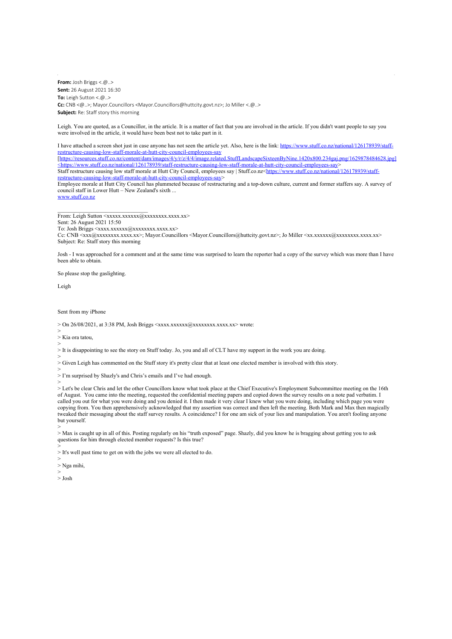**From:** Josh Briggs  $< .@..>$ **Sent:** 26 August 2021 16:30 **To:** Leigh Sutton  $< \textcircled{a}$ **Cc:** CNB <@..>; Mayor.Councillors <Mayor.Councillors@huttcity.govt.nz>; Jo Miller <.@..> **Subject:** Re: Staff story this morning

Leigh. You are quoted, as a Councillor, in the article. It is a matter of fact that you are involved in the article. If you didn't want people to say you were involved in the article, it would have been best not to take part in it.

I have attached a screen shot just in case anyone has not seen the article yet. Also, here is the link: [https://www.stuff.co.nz/national/126178939/staff](https://www.stuff.co.nz/national/126178939/staff-restructure-causing-low-staff-morale-at-hutt-city-council-employees-say)[restructure-causing-low-staff-morale-at-hutt-city-council-employees-say](https://www.stuff.co.nz/national/126178939/staff-restructure-causing-low-staff-morale-at-hutt-city-council-employees-say) [\[https://resources.stuff.co.nz/content/dam/images/4/y/r/z/4/4/image.related.StuffLandscapeSixteenByNine.1420x800.234gaj.png/1629878484628.jpg\]](https://resources.stuff.co.nz/content/dam/images/4/y/r/z/4/4/image.related.StuffLandscapeSixteenByNine.1420x800.234gaj.png/1629878484628.jpg%5d%3chttps:/www.stuff.co.nz/national/126178939/staff-restructure-causing-low-staff-morale-at-hutt-city-council-employees-say) [<https://www.stuff.co.nz/national/126178939/staff-restructure-causing-low-staff-morale-at-hutt-city-council-employees-say](https://resources.stuff.co.nz/content/dam/images/4/y/r/z/4/4/image.related.StuffLandscapeSixteenByNine.1420x800.234gaj.png/1629878484628.jpg%5d%3chttps:/www.stuff.co.nz/national/126178939/staff-restructure-causing-low-staff-morale-at-hutt-city-council-employees-say)>

Staff restructure causing low staff morale at Hutt City Council, employees say | Stuff.co.nz[<https://www.stuff.co.nz/national/126178939/staff](https://www.stuff.co.nz/national/126178939/staff-restructure-causing-low-staff-morale-at-hutt-city-council-employees-say)[restructure-causing-low-staff-morale-at-hutt-city-council-employees-say](https://www.stuff.co.nz/national/126178939/staff-restructure-causing-low-staff-morale-at-hutt-city-council-employees-say)>

Employee morale at Hutt City Council has plummeted because of restructuring and a top-down culture, current and former staffers say. A survey of council staff in Lower Hutt – New Zealand's sixth ...

[www.stuff.co.nz](http://www.stuff.co.nz/)

From: Leigh Sutton <xxxxx.xxxxxxx@xxxxxxxxx.xxx.xx> Sent: 26 August 2021 15:50

To: Josh Briggs <xxxx.xxxxxxx(@xxxxxxxxx.xxxx.xx>

\_\_\_\_\_\_\_\_\_\_\_\_\_\_\_\_\_\_\_\_\_\_\_\_\_\_\_\_\_\_\_\_

Cc: CNB <xxx@xxxxxxxx.xxxx.xx>; Mayor.Councillors <Mayor.Councillors@huttcity.govt.nz>; Jo Miller <xx.xxxxxx@xxxxxxxx.xxxx.xx> Subject: Re: Staff story this morning

Josh - I was approached for a comment and at the same time was surprised to learn the reporter had a copy of the survey which was more than I have been able to obtain.

So please stop the gaslighting.

Leigh

Sent from my iPhone

 $>$  On 26/08/2021, at 3:38 PM, Josh Briggs  $\langle$ xxxx.xxxxxx(@xxxxxxxxxxx.xxx.xx> wrote:

> > Kia ora tatou,

>

> It is disappointing to see the story on Stuff today. Jo, you and all of CLT have my support in the work you are doing.

> > Given Leigh has commented on the Stuff story it's pretty clear that at least one elected member is involved with this story.

> > I'm surprised by Shazly's and Chris's emails and I've had enough.

>

> Let's be clear Chris and let the other Councillors know what took place at the Chief Executive's Employment Subcommittee meeting on the 16th of August. You came into the meeting, requested the confidential meeting papers and copied down the survey results on a note pad verbatim. I called you out for what you were doing and you denied it. I then made it very clear I knew what you were doing, including which page you were copying from. You then apprehensively acknowledged that my assertion was correct and then left the meeting. Both Mark and Max then magically tweaked their messaging about the staff survey results. A coincidence? I for one am sick of your lies and manipulation. You aren't fooling anyone but yourself.

> > Max is caught up in all of this. Posting regularly on his "truth exposed" page. Shazly, did you know he is bragging about getting you to ask questions for him through elected member requests? Is this true?

> > It's well past time to get on with the jobs we were all elected to do.

>

> Nga mihi, >

> Josh